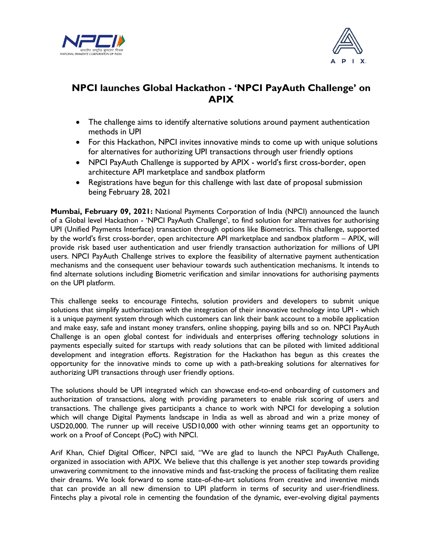



## **NPCI launches Global Hackathon - 'NPCI PayAuth Challenge' on APIX**

- The challenge aims to identify alternative solutions around payment authentication methods in UPI
- For this Hackathon, NPCI invites innovative minds to come up with unique solutions for alternatives for authorizing UPI transactions through user friendly options
- NPCI PayAuth Challenge is supported by APIX world's first cross-border, open architecture API marketplace and sandbox platform
- Registrations have begun for this challenge with last date of proposal submission being February 28, 2021

**Mumbai, February 09, 2021:** National Payments Corporation of India (NPCI) announced the launch of a Global level Hackathon - 'NPCI PayAuth Challenge', to find solution for alternatives for authorising UPI (Unified Payments Interface) transaction through options like Biometrics. This challenge, supported by the world's first cross-border, open architecture API marketplace and sandbox platform – APIX, will provide risk based user authentication and user friendly transaction authorization for millions of UPI users. NPCI PayAuth Challenge strives to explore the feasibility of alternative payment authentication mechanisms and the consequent user behaviour towards such authentication mechanisms. It intends to find alternate solutions including Biometric verification and similar innovations for authorising payments on the UPI platform.

This challenge seeks to encourage Fintechs, solution providers and developers to submit unique solutions that simplify authorization with the integration of their innovative technology into UPI - which is a unique payment system through which customers can link their bank account to a mobile application and make easy, safe and instant money transfers, online shopping, paying bills and so on. NPCI PayAuth Challenge is an open global contest for individuals and enterprises offering technology solutions in payments especially suited for startups with ready solutions that can be piloted with limited additional development and integration efforts. Registration for the Hackathon has begun as this creates the opportunity for the innovative minds to come up with a path-breaking solutions for alternatives for authorizing UPI transactions through user friendly options.

The solutions should be UPI integrated which can showcase end-to-end onboarding of customers and authorization of transactions, along with providing parameters to enable risk scoring of users and transactions. The challenge gives participants a chance to work with NPCI for developing a solution which will change Digital Payments landscape in India as well as abroad and win a prize money of USD20,000. The runner up will receive USD10,000 with other winning teams get an opportunity to work on a Proof of Concept (PoC) with NPCI.

Arif Khan, Chief Digital Officer, NPCI said, "We are glad to launch the NPCI PayAuth Challenge, organized in association with APIX. We believe that this challenge is yet another step towards providing unwavering commitment to the innovative minds and fast-tracking the process of facilitating them realize their dreams. We look forward to some state-of-the-art solutions from creative and inventive minds that can provide an all new dimension to UPI platform in terms of security and user-friendliness. Fintechs play a pivotal role in cementing the foundation of the dynamic, ever-evolving digital payments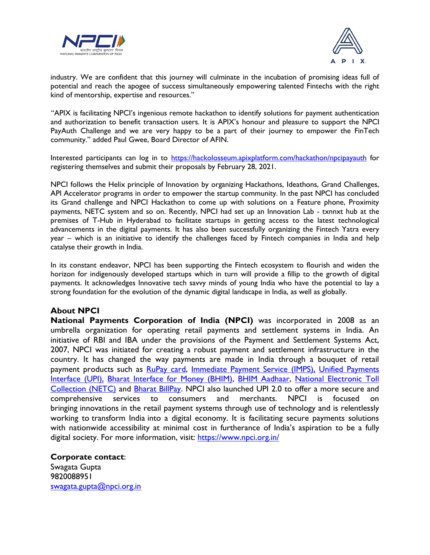



industry. We are confident that this journey will culminate in the incubation of promising ideas full of potential and reach the apogee of success simultaneously empowering talented Fintechs with the right kind of mentorship, expertise and resources."

"APIX is facilitating NPCI's ingenious remote hackathon to identify solutions for payment authentication and authorization to benefit transaction users. It is APIX's honour and pleasure to support the NPCI PayAuth Challenge and we are very happy to be a part of their journey to empower the FinTech community." added Paul Gwee, Board Director of AFIN.

Interested participants can log in to<https://hackolosseum.apixplatform.com/hackathon/npcipayauth> for registering themselves and submit their proposals by February 28, 2021.

NPCI follows the Helix principle of Innovation by organizing Hackathons, Ideathons, Grand Challenges, API Accelerator programs in order to empower the startup community. In the past NPCI has concluded its Grand challenge and NPCI Hackathon to come up with solutions on a Feature phone, Proximity payments, NETC system and so on. Recently, NPCI had set up an Innovation Lab - txnnxt hub at the premises of T-Hub in Hyderabad to facilitate startups in getting access to the latest technological advancements in the digital payments. It has also been successfully organizing the Fintech Yatra every year – which is an initiative to identify the challenges faced by Fintech companies in India and help catalyse their growth in India.

In its constant endeavor, NPCI has been supporting the Fintech ecosystem to flourish and widen the horizon for indigenously developed startups which in turn will provide a fillip to the growth of digital payments. It acknowledges Innovative tech savvy minds of young India who have the potential to lay a strong foundation for the evolution of the dynamic digital landscape in India, as well as globally.

## **About NPCI**

**National Payments Corporation of India (NPCI)** was incorporated in 2008 as an umbrella organization for operating retail payments and settlement systems in India. An initiative of RBI and IBA under the provisions of the Payment and Settlement Systems Act, 2007, NPCI was initiated for creating a robust payment and settlement infrastructure in the country. It has changed the way payments are made in India through a bouquet of retail payment products such as [RuPay card,](https://www.npci.org.in/product-overview/rupay-product-overview) [Immediate Payment Service \(IMPS\),](https://www.npci.org.in/product-overview/imps-product-overview) [Unified Payments](https://www.npci.org.in/product-overview/upi-product-overview)  [Interface \(UPI\),](https://www.npci.org.in/product-overview/upi-product-overview) [Bharat Interface for Money \(BHIM\),](https://www.npci.org.in/product-overview/bhim-product-overview) [BHIM Aadhaar,](https://www.npci.org.in/product-overview/bhim-aadhaar) [National Electronic Toll](https://www.npci.org.in/netc)  [Collection \(NETC\)](https://www.npci.org.in/netc) and [Bharat BillPay.](https://www.npci.org.in/product-overview/bharat-billpay-product-overview) NPCI also launched UPI 2.0 to offer a more secure and comprehensive services to consumers and merchants. NPCI is focused bringing innovations in the retail payment systems through use of technology and is relentlessly working to transform India into a digital economy. It is facilitating secure payments solutions with nationwide accessibility at minimal cost in furtherance of India's aspiration to be a fully digital society. For more information, visit: <https://www.npci.org.in/>

**Corporate contact**: Swagata Gupta 9820088951 [swagata.gupta@npci.org.in](mailto:swagata.gupta@npci.org.in/)